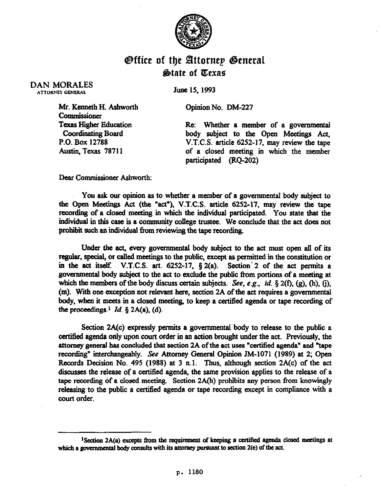

## @ffice of the Bttornep @enera  $\&$ tate of *Texas*

DAN MORALES **ATTORNEY GENERAL** 

June 15, 1993

Opinion No. DM-227

Mr. Kenneth H. A&worth **Commissioner**  Texas Higher Education **Coordinating Board** P.O. Box 12788 Austin, Texas 78711

Ke: Whether a member of a governmental body subject to the Open Meetings Act, V.T.C.S. article 6252-17, may review the tape of a closed meeting in which the member participated (RQ-202)

Dear Commissioner Ashworth:

You ask our opinion as to whether a member of a governmental body subject to the Open Meetings Act (the "act"), V.T.C.S. ticie 6252-17, may review the tape recording of a closed meeting in which the individual participated. You state that the individual in this case is a community college trustee. We conclude that the act does not prohibit such an individual from reviewing the tape recording.

Under the act, every governmental body subject to the act must open alI of its regular, special, or called meetings to the public, except as permitted in the constitution or in the act itself. V.T.C.S. art.  $6252-17$ ,  $\S 2(a)$ . Section 2 of the act permits a governmental body subject to the act to exclude the public from portions of a meeting at which the members of the body discuss certain subjects. See, e.g., *id.* § 2(f), (g), (h), (j), (m). With one exception not relevant here, section 2A of the act requires a govemmentsl body, when it meets in a closed meeting, to keep a certified agenda or tape recording of the proceedings  $1 \, Id. \, \S$  2A(a), (d).

Section 2A(c) expressly permits a governmental body to release to the public a certified agenda only upon court order in an action brought under the act. Previously, the attorney general has concluded that section 2A of the act uses "certified agenda" and "tape recording" interchangeably. See Attorney General Opinion JM-1071 (1989) at 2; Open Records Decision No. 495 (1988) at 3 n.1. Thus, although section 2A(c) of the act discusses the release of a certified agenda, the same provision applies to the release of a tape recording of a closed meeting. Section 2A(h) prohibits any person from knowingly releasing to the public a certified agenda or tape recording except in compliance with a court order.

<sup>&</sup>lt;sup>1</sup>Section 2A(a) excepts from the requirement of keeping a certified agenda closed meetings at which a governmental body consults with its attorney pursuant to section  $2(e)$  of the act.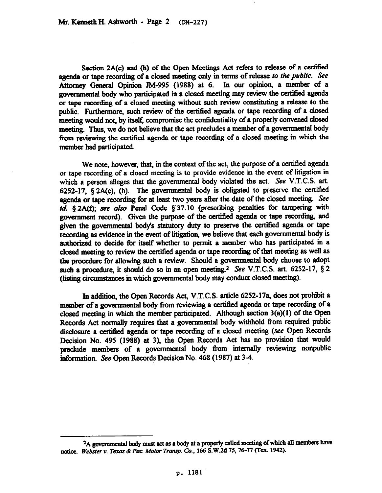Section 2A(c) and (h) of the Open Meetings Act refers to release of a certified agenda or tape recording of a closed meeting only in terms of release fo the *public. See*  Attorney General Opinion JM-995 (1988) at 6. In our opinion, a member of a governmental body who participated in a closed meeting may review the certitied agenda or tape recording of a closed meeting without such review constituting a release to the public. Furthermore, such review of the certified agenda or tape recording of a closed meeting would not, by itself, compromise the confidentiality of a properly convened closed meeting. Thus, we do not believe that the act precludes a member of a governmental body from reviewing the certitied agenda or tape recording of a closed meeting in which the member had participated.

We note, however, that, in the context of the act, the purpose of a certified agenda or tape recording of a closed meeting is to provide evidence in the event of litigation in which a person alleges that the governmental body violated the act. See V.T.C.S. art. 6252-17,  $§$  2A(e), (h). The governmental body is obligated to preserve the certified agenda or tape recording for at least two years after the date of the closed meeting. See  $id.$  § 2A(f); see also Penal Code § 37.10 (prescribing penalties for tampering with government record). Given the purpose of the certified agenda or tape recording, and given the governmental body's statutory duty to preserve the certified agenda or tape recording as evidence in the event of litigation, we believe that each governmentsl body is authorized to decide for itself whether to permit a member who has participated in a closed meeting to review the certified agenda or tape recording of that meeting as well as the procedure for allowing such a review. Should a governmental body choose to adopt such a procedure, it should do so in an open meeting.<sup>2</sup> See V.T.C.S. art. 6252-17,  $\S 2$ (listing circumstances in which governmental body may conduct closed meeting).

In addition, the Open Records Act, V.T.C.S. article 6252-17a, does not prohibit a member of a governmental body from reviewing a certified agenda or tape recording of a closed meeting in which the member participated. Although section 3(a)(l) of the Open Records Act normally requires that a governmental body withhold from required public disclosure a certified agenda or tape recording of a closed meeting (see Open Records Decision No. 495 (1988) at 3), the Open Records Act has no provision that would preclude members of a governmental body from internally reviewing nonpublic information. See Open Records Decision No. 468 (1987) at 3-4.

<sup>&</sup>lt;sup>2</sup>A governmental body must act as a body at a properly called meeting of which all members have notice. Webster v. Texas & Pac. Motor Transp. Co., 166 S.W.2d 75, 76-77 (Tex. 1942).